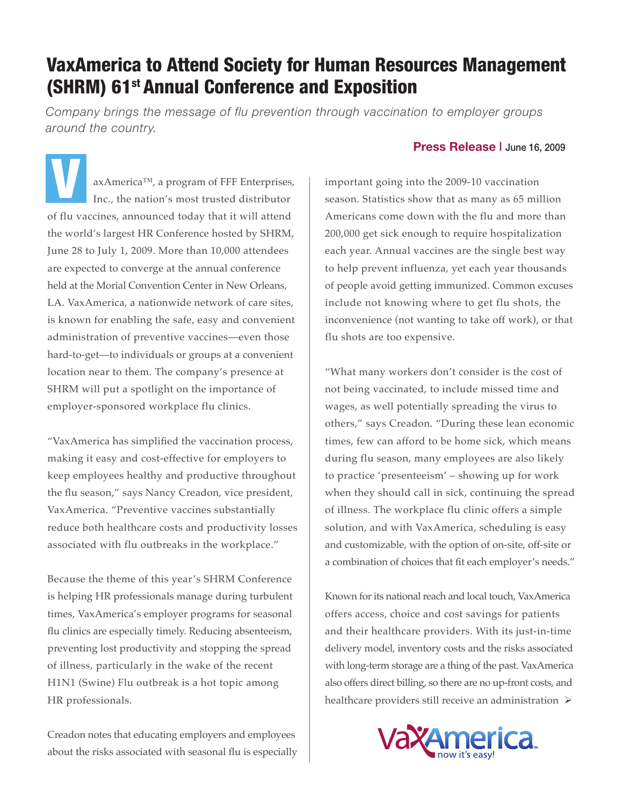## VaxAmerica to Attend Society for Human Resources Management (SHRM) 61<sup>st</sup> Annual Conference and Exposition

*Company brings the message of flu prevention through vaccination to employer groups around the country.*

axAmerica™, a program of FFF Enterprises, Inc., the nation's most trusted distributor of flu vaccines, announced today that it will attend the world's largest HR Conference hosted by SHRM, June 28 to July 1, 2009. More than 10,000 attendees are expected to converge at the annual conference held at the Morial Convention Center in New Orleans, LA. VaxAmerica, a nationwide network of care sites, is known for enabling the safe, easy and convenient administration of preventive vaccines—even those hard-to-get—to individuals or groups at a convenient location near to them. The company's presence at SHRM will put a spotlight on the importance of employer-sponsored workplace flu clinics. **V** 

"VaxAmerica has simplified the vaccination process, making it easy and cost-effective for employers to keep employees healthy and productive throughout the flu season," says Nancy Creadon, vice president, VaxAmerica. "Preventive vaccines substantially reduce both healthcare costs and productivity losses associated with flu outbreaks in the workplace."

Because the theme of this year's SHRM Conference is helping HR professionals manage during turbulent times, VaxAmerica's employer programs for seasonal flu clinics are especially timely. Reducing absenteeism, preventing lost productivity and stopping the spread of illness, particularly in the wake of the recent H1N1 (Swine) Flu outbreak is a hot topic among HR professionals.

Creadon notes that educating employers and employees about the risks associated with seasonal flu is especially

## **Press Release |** June 16, 2009

important going into the 2009-10 vaccination season. Statistics show that as many as 65 million Americans come down with the flu and more than 200,000 get sick enough to require hospitalization each year. Annual vaccines are the single best way to help prevent influenza, yet each year thousands of people avoid getting immunized. Common excuses include not knowing where to get flu shots, the inconvenience (not wanting to take off work), or that flu shots are too expensive.

"What many workers don't consider is the cost of not being vaccinated, to include missed time and wages, as well potentially spreading the virus to others," says Creadon. "During these lean economic times, few can afford to be home sick, which means during flu season, many employees are also likely to practice 'presenteeism' – showing up for work when they should call in sick, continuing the spread of illness. The workplace flu clinic offers a simple solution, and with VaxAmerica, scheduling is easy and customizable, with the option of on-site, off-site or a combination of choices that fit each employer's needs."

Known for its national reach and local touch, VaxAmerica offers access, choice and cost savings for patients and their healthcare providers. With its just-in-time delivery model, inventory costs and the risks associated with long-term storage are a thing of the past. VaxAmerica also offers direct billing, so there are no up-front costs, and healthcare providers still receive an administration  $\triangleright$